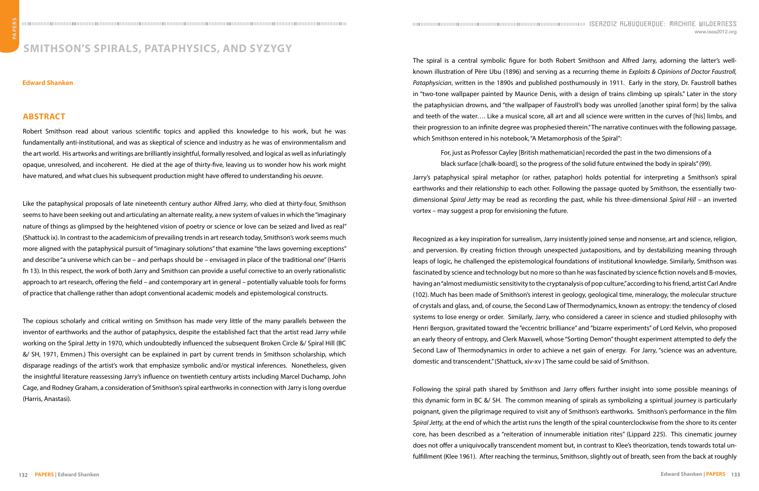The spiral is a central symbolic figure for both Robert Smithson and Alfred Jarry, adorning the latter's wellknown illustration of Père Ubu (1896) and serving as a recurring theme in *Exploits & Opinions of Doctor Faustroll, Pataphysician*, written in the 1890s and published posthumously in 1911. Early in the story, Dr. Faustroll bathes in "two-tone wallpaper painted by Maurice Denis, with a design of trains climbing up spirals." Later in the story the pataphysician drowns, and "the wallpaper of Faustroll's body was unrolled [another spiral form] by the saliva and teeth of the water…. Like a musical score, all art and all science were written in the curves of [his] limbs, and their progression to an infinite degree was prophesied therein." The narrative continues with the following passage, which Smithson entered in his notebook, "A Metamorphosis of the Spiral":

For, just as Professor Cayley [British mathematician] recorded the past in the two dimensions of a black surface [chalk-board], so the progress of the solid future entwined the body in spirals" (99).

Jarry's pataphysical spiral metaphor (or rather, pataphor) holds potential for interpreting a Smithson's spiral earthworks and their relationship to each other. Following the passage quoted by Smithson, the essentially twodimensional *Spiral Jetty* may be read as recording the past, while his three-dimensional *Spiral Hill* – an inverted vortex – may suggest a prop for envisioning the future.

Recognized as a key inspiration for surrealism, Jarry insistently joined sense and nonsense, art and science, religion, and perversion. By creating friction through unexpected juxtapositions, and by destabilizing meaning through leaps of logic, he challenged the epistemological foundations of institutional knowledge. Similarly, Smithson was fascinated by science and technology but no more so than he was fascinated by science fiction novels and B-movies, having an "almost mediumistic sensitivity to the cryptanalysis of pop culture," according to his friend, artist Carl Andre (102). Much has been made of Smithson's interest in geology, geological time, mineralogy, the molecular structure of crystals and glass, and, of course, the Second Law of Thermodynamics, known as entropy: the tendency of closed systems to lose energy or order. Similarly, Jarry, who considered a career in science and studied philosophy with Henri Bergson, gravitated toward the "eccentric brilliance" and "bizarre experiments" of Lord Kelvin, who proposed an early theory of entropy, and Clerk Maxwell, whose "Sorting Demon" thought experiment attempted to defy the Second Law of Thermodynamics in order to achieve a net gain of energy. For Jarry, "science was an adventure, domestic and transcendent." (Shattuck, xiv-xv ) The same could be said of Smithson.

Following the spiral path shared by Smithson and Jarry offers further insight into some possible meanings of this dynamic form in BC &/ SH. The common meaning of spirals as symbolizing a spiritual journey is particularly poignant, given the pilgrimage required to visit any of Smithson's earthworks. Smithson's performance in the film *Spiral Jetty,* at the end of which the artist runs the length of the spiral counterclockwise from the shore to its center core, has been described as a "reiteration of innumerable initiation rites" (Lippard 225). This cinematic journey does not offer a uniquivocally transcendent moment but, in contrast to Klee's theorization, tends towards total unfulfillment (Klee 1961). After reaching the terminus, Smithson, slightly out of breath, seen from the back at roughly

## **Smithson's Spirals, Pataphysics, and Syzygy**

## **Abstract**

Robert Smithson read about various scientific topics and applied this knowledge to his work, but he was fundamentally anti-institutional, and was as skeptical of science and industry as he was of environmentalism and the art world. His artworks and writings are brilliantly insightful, formally resolved, and logical as well as infuriatingly opaque, unresolved, and incoherent. He died at the age of thirty-five, leaving us to wonder how his work might have matured, and what clues his subsequent production might have offered to understanding his *oeuvre*.

Like the pataphysical proposals of late nineteenth century author Alfred Jarry, who died at thirty-four, Smithson seems to have been seeking out and articulating an alternate reality, a new system of values in which the "imaginary nature of things as glimpsed by the heightened vision of poetry or science or love can be seized and lived as real" (Shattuck ix). In contrast to the academicism of prevailing trends in art research today, Smithson's work seems much more aligned with the pataphysical pursuit of "imaginary solutions" that examine "the laws governing exceptions" and describe "a universe which can be – and perhaps should be – envisaged in place of the traditional one" (Harris fn 13). In this respect, the work of both Jarry and Smithson can provide a useful corrective to an overly rationalistic approach to art research, offering the field – and contemporary art in general – potentially valuable tools for forms of practice that challenge rather than adopt conventional academic models and epistemological constructs.

The copious scholarly and critical writing on Smithson has made very little of the many parallels between the inventor of earthworks and the author of pataphysics, despite the established fact that the artist read Jarry while working on the Spiral Jetty in 1970, which undoubtedly influenced the subsequent Broken Circle &/ Spiral Hill (BC &/ SH, 1971, Emmen.) This oversight can be explained in part by current trends in Smithson scholarship, which disparage readings of the artist's work that emphasize symbolic and/or mystical inferences. Nonetheless, given the insightful literature reassessing Jarry's influence on twentieth century artists including Marcel Duchamp, John Cage, and Rodney Graham, a consideration of Smithson's spiral earthworks in connection with Jarry is long overdue (Harris, Anastasi).

## **Edward Shanken**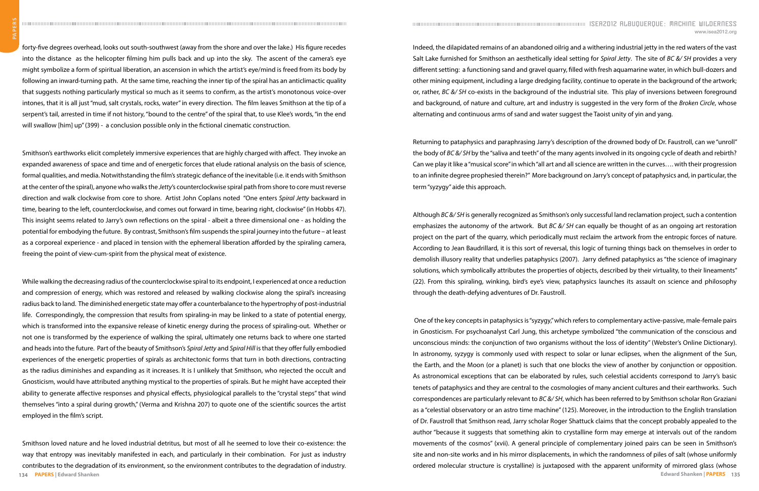Indeed, the dilapidated remains of an abandoned oilrig and a withering industrial jetty in the red waters of the vast Salt Lake furnished for Smithson an aesthetically ideal setting for *Spiral Jetty*. The site of *BC &/ SH* provides a very different setting: a functioning sand and gravel quarry, filled with fresh aquamarine water, in which bull-dozers and other mining equipment, including a large dredging facility, continue to operate in the background of the artwork; or, rather, *BC &/ SH* co-exists in the background of the industrial site. This play of inversions between foreground and background, of nature and culture, art and industry is suggested in the very form of the *Broken Circle*, whose alternating and continuous arms of sand and water suggest the Taoist unity of yin and yang.

Returning to pataphysics and paraphrasing Jarry's description of the drowned body of Dr. Faustroll, can we "unroll" the body of *BC &/ SH* by the "saliva and teeth" of the many agents involved in its ongoing cycle of death and rebirth? Can we play it like a "musical score" in which "all art and all science are written in the curves…. with their progression to an infinite degree prophesied therein?" More background on Jarry's concept of pataphysics and, in particular, the term "syzygy" aide this approach.

Although *BC &/ SH* is generally recognized as Smithson's only successful land reclamation project, such a contention emphasizes the autonomy of the artwork. But *BC &/ SH* can equally be thought of as an ongoing art restoration project on the part of the quarry, which periodically must reclaim the artwork from the entropic forces of nature. According to Jean Baudrillard, it is this sort of reversal, this logic of turning things back on themselves in order to demolish illusory reality that underlies pataphysics (2007). Jarry defined pataphysics as "the science of imaginary solutions, which symbolically attributes the properties of objects, described by their virtuality, to their lineaments" (22). From this spiraling, winking, bird's eye's view, pataphysics launches its assault on science and philosophy through the death-defying adventures of Dr. Faustroll.

 One of the key concepts in pataphysics is "syzygy," which refers to complementary active-passive, male-female pairs in Gnosticism. For psychoanalyst Carl Jung, this archetype symbolized "the communication of the conscious and unconscious minds: the conjunction of two organisms without the loss of identity" (Webster's Online Dictionary). In astronomy, syzygy is commonly used with respect to solar or lunar eclipses, when the alignment of the Sun, the Earth, and the Moon (or a planet) is such that one blocks the view of another by conjunction or opposition. As astronomical exceptions that can be elaborated by rules, such celestial accidents correspond to Jarry's basic tenets of pataphysics and they are central to the cosmologies of many ancient cultures and their earthworks. Such correspondences are particularly relevant to *BC &/ SH*, which has been referred to by Smithson scholar Ron Graziani as a "celestial observatory or an astro time machine" (125). Moreover, in the introduction to the English translation of Dr. Faustroll that Smithson read, Jarry scholar Roger Shattuck claims that the concept probably appealed to the author "because it suggests that something akin to crystalline form may emerge at intervals out of the random movements of the cosmos" (xvii). A general principle of complementary joined pairs can be seen in Smithson's site and non-site works and in his mirror displacements, in which the randomness of piles of salt (whose uniformly ordered molecular structure is crystalline) is juxtaposed with the apparent uniformity of mirrored glass (whose

forty-five degrees overhead, looks out south-southwest (away from the shore and over the lake.) His figure recedes into the distance as the helicopter filming him pulls back and up into the sky. The ascent of the camera's eye might symbolize a form of spiritual liberation, an ascension in which the artist's eye/mind is freed from its body by following an inward-turning path. At the same time, reaching the inner tip of the spiral has an anticlimactic quality that suggests nothing particularly mystical so much as it seems to confirm, as the artist's monotonous voice-over intones, that it is all just "mud, salt crystals, rocks, water" in every direction. The film leaves Smithson at the tip of a serpent's tail, arrested in time if not history, "bound to the centre" of the spiral that, to use Klee's words, "in the end will swallow [him] up" (399) - a conclusion possible only in the fictional cinematic construction.

Smithson's earthworks elicit completely immersive experiences that are highly charged with affect. They invoke an expanded awareness of space and time and of energetic forces that elude rational analysis on the basis of science, formal qualities, and media. Notwithstanding the film's strategic defiance of the inevitable (i.e. it ends with Smithson at the center of the spiral), anyone who walks the *Jetty*'s counterclockwise spiral path from shore to core must reverse direction and walk clockwise from core to shore. Artist John Coplans noted "One enters *Spiral Jetty* backward in time, bearing to the left, counterclockwise, and comes out forward in time, bearing right, clockwise" (in Hobbs 47). This insight seems related to Jarry's own reflections on the spiral - albeit a three dimensional one - as holding the potential for embodying the future. By contrast, Smithson's film suspends the spiral journey into the future – at least as a corporeal experience - and placed in tension with the ephemeral liberation afforded by the spiraling camera, freeing the point of view-cum-spirit from the physical meat of existence.

**134 PAPERS | Edward Shanken** Smithson loved nature and he loved industrial detritus, but most of all he seemed to love their co-existence: the way that entropy was inevitably manifested in each, and particularly in their combination. For just as industry contributes to the degradation of its environment, so the environment contributes to the degradation of industry.

While walking the decreasing radius of the counterclockwise spiral to its endpoint, I experienced at once a reduction and compression of energy, which was restored and released by walking clockwise along the spiral's increasing radius back to land. The diminished energetic state may offer a counterbalance to the hypertrophy of post-industrial life. Correspondingly, the compression that results from spiraling-in may be linked to a state of potential energy, which is transformed into the expansive release of kinetic energy during the process of spiraling-out. Whether or not one is transformed by the experience of walking the spiral, ultimately one returns back to where one started and heads into the future. Part of the beauty of Smithson's *Spiral Jetty* and *Spiral Hill* is that they offer fully embodied experiences of the energetic properties of spirals as architectonic forms that turn in both directions, contracting as the radius diminishes and expanding as it increases. It is I unlikely that Smithson, who rejected the occult and Gnosticism, would have attributed anything mystical to the properties of spirals. But he might have accepted their ability to generate affective responses and physical effects, physiological parallels to the "crystal steps" that wind themselves "into a spiral during growth," (Verma and Krishna 207) to quote one of the scientific sources the artist employed in the film's script.